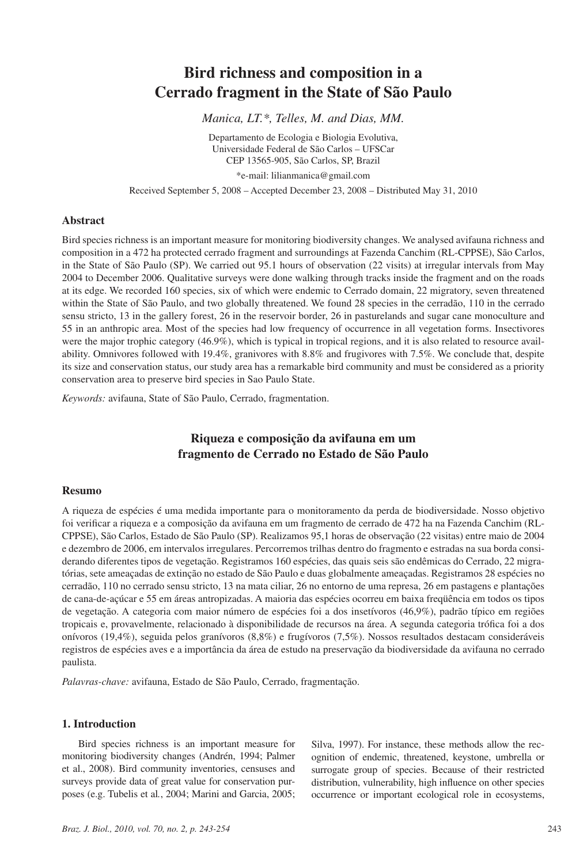# **Bird richness and composition in a Cerrado fragment in the State of São Paulo**

*Manica, LT.\*, Telles, M. and Dias, MM.*

Departamento de Ecologia e Biologia Evolutiva, Universidade Federal de São Carlos – UFSCar CEP 13565-905, São Carlos, SP, Brazil \*e-mail: lilianmanica@gmail.com

Received September 5, 2008 – Accepted December 23, 2008 – Distributed May 31, 2010

## **Abstract**

Bird species richness is an important measure for monitoring biodiversity changes. We analysed avifauna richness and composition in a 472 ha protected cerrado fragment and surroundings at Fazenda Canchim (RL-CPPSE), São Carlos, in the State of São Paulo (SP). We carried out 95.1 hours of observation (22 visits) at irregular intervals from May 2004 to December 2006. Qualitative surveys were done walking through tracks inside the fragment and on the roads at its edge. We recorded 160 species, six of which were endemic to Cerrado domain, 22 migratory, seven threatened within the State of São Paulo, and two globally threatened. We found 28 species in the cerradão, 110 in the cerrado sensu stricto, 13 in the gallery forest, 26 in the reservoir border, 26 in pasturelands and sugar cane monoculture and 55 in an anthropic area. Most of the species had low frequency of occurrence in all vegetation forms. Insectivores were the major trophic category (46.9%), which is typical in tropical regions, and it is also related to resource availability. Omnivores followed with 19.4%, granivores with 8.8% and frugivores with 7.5%. We conclude that, despite its size and conservation status, our study area has a remarkable bird community and must be considered as a priority conservation area to preserve bird species in Sao Paulo State.

*Keywords:* avifauna, State of São Paulo, Cerrado, fragmentation.

## **Riqueza e composição da avifauna em um fragmento de Cerrado no Estado de São Paulo**

## **Resumo**

A riqueza de espécies é uma medida importante para o monitoramento da perda de biodiversidade. Nosso objetivo foi verificar a riqueza e a composição da avifauna em um fragmento de cerrado de 472 ha na Fazenda Canchim (RL-CPPSE), São Carlos, Estado de São Paulo (SP). Realizamos 95,1 horas de observação (22 visitas) entre maio de 2004 e dezembro de 2006, em intervalos irregulares. Percorremos trilhas dentro do fragmento e estradas na sua borda considerando diferentes tipos de vegetação. Registramos 160 espécies, das quais seis são endêmicas do Cerrado, 22 migratórias, sete ameaçadas de extinção no estado de São Paulo e duas globalmente ameaçadas. Registramos 28 espécies no cerradão, 110 no cerrado sensu stricto, 13 na mata ciliar, 26 no entorno de uma represa, 26 em pastagens e plantações de cana-de-açúcar e 55 em áreas antropizadas. A maioria das espécies ocorreu em baixa freqüência em todos os tipos de vegetação. A categoria com maior número de espécies foi a dos insetívoros (46,9%), padrão típico em regiões tropicais e, provavelmente, relacionado à disponibilidade de recursos na área. A segunda categoria trófica foi a dos onívoros (19,4%), seguida pelos granívoros (8,8%) e frugívoros (7,5%). Nossos resultados destacam consideráveis registros de espécies aves e a importância da área de estudo na preservação da biodiversidade da avifauna no cerrado paulista.

*Palavras-chave:* avifauna, Estado de São Paulo, Cerrado, fragmentação.

## **1. Introduction**

Bird species richness is an important measure for monitoring biodiversity changes (Andrén, 1994; Palmer et al., 2008). Bird community inventories, censuses and surveys provide data of great value for conservation purposes (e.g. Tubelis et al*.*, 2004; Marini and Garcia, 2005; Silva, 1997). For instance, these methods allow the recognition of endemic, threatened, keystone, umbrella or surrogate group of species. Because of their restricted distribution, vulnerability, high influence on other species occurrence or important ecological role in ecosystems,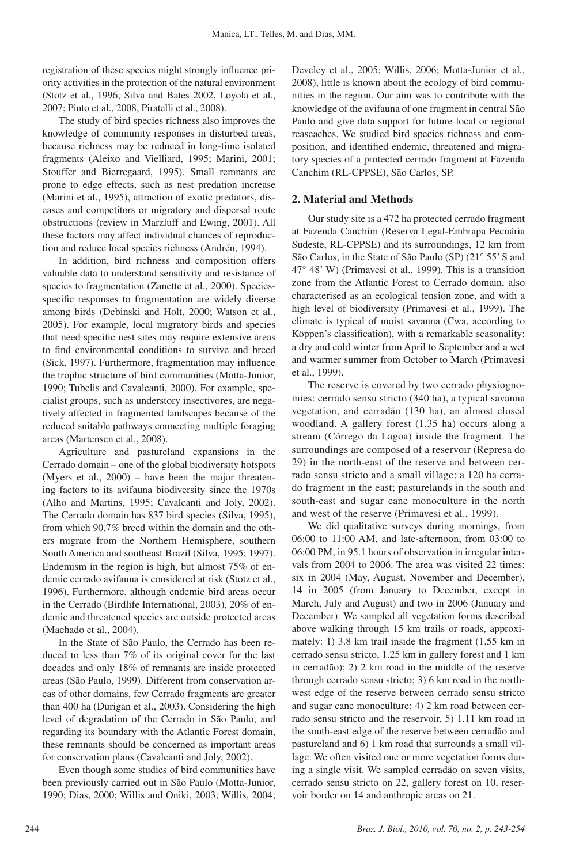registration of these species might strongly influence priority activities in the protection of the natural environment (Stotz et al., 1996; Silva and Bates 2002, Loyola et al., 2007; Pinto et al., 2008, Piratelli et al., 2008).

The study of bird species richness also improves the knowledge of community responses in disturbed areas, because richness may be reduced in long-time isolated fragments (Aleixo and Vielliard, 1995; Marini, 2001; Stouffer and Bierregaard, 1995). Small remnants are prone to edge effects, such as nest predation increase (Marini et al., 1995), attraction of exotic predators, diseases and competitors or migratory and dispersal route obstructions (review in Marzluff and Ewing, 2001). All these factors may affect individual chances of reproduction and reduce local species richness (Andrén, 1994).

In addition, bird richness and composition offers valuable data to understand sensitivity and resistance of species to fragmentation (Zanette et al., 2000). Speciesspecific responses to fragmentation are widely diverse among birds (Debinski and Holt, 2000; Watson et al*.*, 2005). For example, local migratory birds and species that need specific nest sites may require extensive areas to find environmental conditions to survive and breed (Sick, 1997). Furthermore, fragmentation may influence the trophic structure of bird communities (Motta-Junior, 1990; Tubelis and Cavalcanti, 2000). For example, specialist groups, such as understory insectivores, are negatively affected in fragmented landscapes because of the reduced suitable pathways connecting multiple foraging areas (Martensen et al., 2008).

Agriculture and pastureland expansions in the Cerrado domain – one of the global biodiversity hotspots (Myers et al., 2000) – have been the major threatening factors to its avifauna biodiversity since the 1970s (Alho and Martins, 1995; Cavalcanti and Joly, 2002). The Cerrado domain has 837 bird species (Silva, 1995), from which 90.7% breed within the domain and the others migrate from the Northern Hemisphere, southern South America and southeast Brazil (Silva, 1995; 1997). Endemism in the region is high, but almost 75% of endemic cerrado avifauna is considered at risk (Stotz et al., 1996). Furthermore, although endemic bird areas occur in the Cerrado (Birdlife International, 2003), 20% of endemic and threatened species are outside protected areas (Machado et al., 2004).

In the State of São Paulo, the Cerrado has been reduced to less than 7% of its original cover for the last decades and only 18% of remnants are inside protected areas (São Paulo, 1999). Different from conservation areas of other domains, few Cerrado fragments are greater than 400 ha (Durigan et al., 2003). Considering the high level of degradation of the Cerrado in São Paulo, and regarding its boundary with the Atlantic Forest domain, these remnants should be concerned as important areas for conservation plans (Cavalcanti and Joly, 2002).

Even though some studies of bird communities have been previously carried out in São Paulo (Motta-Junior, 1990; Dias, 2000; Willis and Oniki, 2003; Willis, 2004; Develey et al., 2005; Willis, 2006; Motta-Junior et al*.*, 2008), little is known about the ecology of bird communities in the region. Our aim was to contribute with the knowledge of the avifauna of one fragment in central São Paulo and give data support for future local or regional reaseaches. We studied bird species richness and composition, and identified endemic, threatened and migratory species of a protected cerrado fragment at Fazenda Canchim (RL-CPPSE), São Carlos, SP.

#### **2. Material and Methods**

Our study site is a 472 ha protected cerrado fragment at Fazenda Canchim (Reserva Legal-Embrapa Pecuária Sudeste, RL-CPPSE) and its surroundings, 12 km from São Carlos, in the State of São Paulo (SP) (21° 55' S and 47° 48' W) (Primavesi et al., 1999). This is a transition zone from the Atlantic Forest to Cerrado domain, also characterised as an ecological tension zone, and with a high level of biodiversity (Primavesi et al., 1999). The climate is typical of moist savanna (Cwa, according to Köppen's classification), with a remarkable seasonality: a dry and cold winter from April to September and a wet and warmer summer from October to March (Primavesi et al., 1999).

The reserve is covered by two cerrado physiognomies: cerrado sensu stricto (340 ha), a typical savanna vegetation, and cerradão (130 ha), an almost closed woodland. A gallery forest (1.35 ha) occurs along a stream (Córrego da Lagoa) inside the fragment. The surroundings are composed of a reservoir (Represa do 29) in the north-east of the reserve and between cerrado sensu stricto and a small village; a 120 ha cerrado fragment in the east; pasturelands in the south and south-east and sugar cane monoculture in the north and west of the reserve (Primavesi et al., 1999).

We did qualitative surveys during mornings, from 06:00 to 11:00 AM, and late-afternoon, from 03:00 to 06:00 PM, in 95.1 hours of observation in irregular intervals from 2004 to 2006. The area was visited 22 times: six in 2004 (May, August, November and December), 14 in 2005 (from January to December, except in March, July and August) and two in 2006 (January and December). We sampled all vegetation forms described above walking through 15 km trails or roads, approximately: 1) 3.8 km trail inside the fragment (1.55 km in cerrado sensu stricto, 1.25 km in gallery forest and 1 km in cerradão); 2) 2 km road in the middle of the reserve through cerrado sensu stricto; 3) 6 km road in the northwest edge of the reserve between cerrado sensu stricto and sugar cane monoculture; 4) 2 km road between cerrado sensu stricto and the reservoir, 5) 1.11 km road in the south-east edge of the reserve between cerradão and pastureland and 6) 1 km road that surrounds a small village. We often visited one or more vegetation forms during a single visit. We sampled cerradão on seven visits, cerrado sensu stricto on 22, gallery forest on 10, reservoir border on 14 and anthropic areas on 21.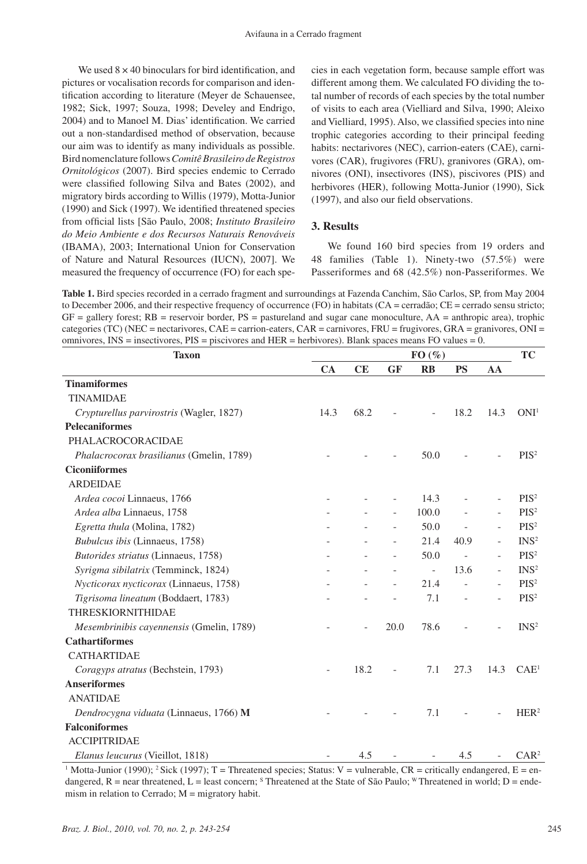We used  $8 \times 40$  binoculars for bird identification, and pictures or vocalisation records for comparison and identification according to literature (Meyer de Schauensee, 1982; Sick, 1997; Souza, 1998; Develey and Endrigo, 2004) and to Manoel M. Dias' identification. We carried out a non-standardised method of observation, because our aim was to identify as many individuals as possible. Bird nomenclature follows *Comitê Brasileiro de Registros Ornitológicos* (2007). Bird species endemic to Cerrado were classified following Silva and Bates (2002), and migratory birds according to Willis (1979), Motta-Junior (1990) and Sick (1997). We identified threatened species from official lists [São Paulo, 2008; *Instituto Brasileiro do Meio Ambiente e dos Recursos Naturais Renováveis* (IBAMA), 2003; International Union for Conservation of Nature and Natural Resources (IUCN), 2007]. We measured the frequency of occurrence (FO) for each species in each vegetation form, because sample effort was different among them. We calculated FO dividing the total number of records of each species by the total number of visits to each area (Vielliard and Silva, 1990; Aleixo and Vielliard, 1995). Also, we classified species into nine trophic categories according to their principal feeding habits: nectarivores (NEC), carrion-eaters (CAE), carnivores (CAR), frugivores (FRU), granivores (GRA), omnivores (ONI), insectivores (INS), piscivores (PIS) and herbivores (HER), following Motta-Junior (1990), Sick (1997), and also our field observations.

#### **3. Results**

We found 160 bird species from 19 orders and 48 families (Table 1). Ninety-two (57.5%) were Passeriformes and 68 (42.5%) non-Passeriformes. We

**Table 1.** Bird species recorded in a cerrado fragment and surroundings at Fazenda Canchim, São Carlos, SP, from May 2004 to December 2006, and their respective frequency of occurrence (FO) in habitats (CA = cerradão; CE = cerrado sensu stricto;  $GF =$  gallery forest;  $RB =$  reservoir border,  $PS =$  pastureland and sugar cane monoculture,  $AA =$  anthropic area), trophic categories (TC) (NEC = nectarivores, CAE = carrion-eaters, CAR = carnivores, FRU = frugivores, GRA = granivores, ONI = omnivores, INS = insectivores, PIS = piscivores and HER = herbivores). Blank spaces means FO values = 0.

| <b>Taxon</b>                                  |                          | $FO(\%)$ |                          |                          |                          |                          |                  |
|-----------------------------------------------|--------------------------|----------|--------------------------|--------------------------|--------------------------|--------------------------|------------------|
|                                               | CA                       | CE       | <b>GF</b>                | $\mathbf{R}$             | <b>PS</b>                | AA                       |                  |
| <b>Tinamiformes</b>                           |                          |          |                          |                          |                          |                          |                  |
| <b>TINAMIDAE</b>                              |                          |          |                          |                          |                          |                          |                  |
| Crypturellus parvirostris (Wagler, 1827)      | 14.3                     | 68.2     |                          |                          | 18.2                     | 14.3                     | ONI <sup>1</sup> |
| <b>Pelecaniformes</b>                         |                          |          |                          |                          |                          |                          |                  |
| PHALACROCORACIDAE                             |                          |          |                          |                          |                          |                          |                  |
| Phalacrocorax brasilianus (Gmelin, 1789)      |                          |          |                          | 50.0                     |                          |                          | PIS <sup>2</sup> |
| <b>Ciconiiformes</b>                          |                          |          |                          |                          |                          |                          |                  |
| <b>ARDEIDAE</b>                               |                          |          |                          |                          |                          |                          |                  |
| Ardea cocoi Linnaeus, 1766                    |                          |          |                          | 14.3                     |                          |                          | $PIS^2$          |
| Ardea alba Linnaeus, 1758                     |                          |          |                          | 100.0                    |                          |                          | $PIS^2$          |
| Egretta thula (Molina, 1782)                  |                          |          |                          | 50.0                     | $\overline{\phantom{a}}$ |                          | PIS <sup>2</sup> |
| Bubulcus ibis (Linnaeus, 1758)                |                          |          |                          | 21.4                     | 40.9                     |                          | INS <sup>2</sup> |
| Butorides striatus (Linnaeus, 1758)           |                          |          |                          | 50.0                     | $\blacksquare$           |                          | PIS <sup>2</sup> |
| Syrigma sibilatrix (Temminck, 1824)           |                          |          | $\overline{\phantom{0}}$ | $\overline{\phantom{a}}$ | 13.6                     | $\overline{\phantom{a}}$ | INS <sup>2</sup> |
| <i>Nycticorax nycticorax</i> (Linnaeus, 1758) |                          |          |                          | 21.4                     |                          |                          | $PIS^2$          |
| Tigrisoma lineatum (Boddaert, 1783)           |                          |          |                          | 7.1                      |                          | $\overline{\phantom{a}}$ | $PIS^2$          |
| <b>THRESKIORNITHIDAE</b>                      |                          |          |                          |                          |                          |                          |                  |
| Mesembrinibis cayennensis (Gmelin, 1789)      |                          |          | 20.0                     | 78.6                     |                          |                          | INS <sup>2</sup> |
| <b>Cathartiformes</b>                         |                          |          |                          |                          |                          |                          |                  |
| <b>CATHARTIDAE</b>                            |                          |          |                          |                          |                          |                          |                  |
| Coragyps atratus (Bechstein, 1793)            | $\overline{\phantom{a}}$ | 18.2     |                          | 7.1                      | 27.3                     | 14.3                     | CAE <sup>1</sup> |
| <b>Anseriformes</b>                           |                          |          |                          |                          |                          |                          |                  |
| <b>ANATIDAE</b>                               |                          |          |                          |                          |                          |                          |                  |
| Dendrocygna viduata (Linnaeus, 1766) M        |                          |          |                          | 7.1                      |                          |                          | HER <sup>2</sup> |
| <b>Falconiformes</b>                          |                          |          |                          |                          |                          |                          |                  |
| <b>ACCIPITRIDAE</b>                           |                          |          |                          |                          |                          |                          |                  |
| <i>Elanus leucurus</i> (Vieillot, 1818)       |                          | 4.5      |                          |                          | 4.5                      |                          | CAR <sup>2</sup> |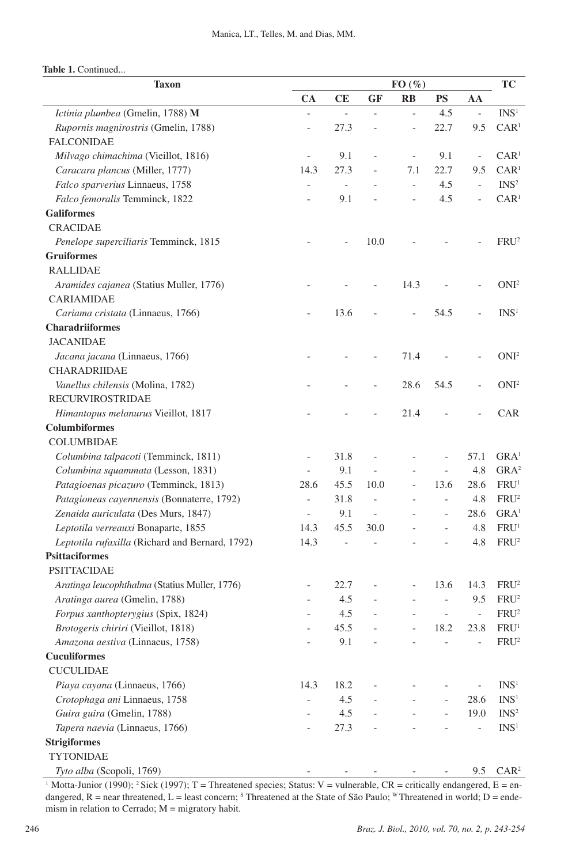| <b>Taxon</b>                                    |                          | FO(%)                    |                          |                          |                          |                          | <b>TC</b>        |
|-------------------------------------------------|--------------------------|--------------------------|--------------------------|--------------------------|--------------------------|--------------------------|------------------|
|                                                 | CA                       | CE                       | <b>GF</b>                | $\mathbf{RB}$            | <b>PS</b>                | AA                       |                  |
| Ictinia plumbea (Gmelin, 1788) M                | $\frac{1}{2}$            | $\overline{a}$           | $\overline{\phantom{a}}$ | $\qquad \qquad \Box$     | 4.5                      | $\overline{\phantom{0}}$ | INS <sup>1</sup> |
| Rupornis magnirostris (Gmelin, 1788)            | $\overline{\phantom{a}}$ | 27.3                     |                          | $\overline{\phantom{0}}$ | 22.7                     | 9.5                      | CAR <sup>1</sup> |
| <b>FALCONIDAE</b>                               |                          |                          |                          |                          |                          |                          |                  |
| Milvago chimachima (Vieillot, 1816)             | $\overline{\phantom{a}}$ | 9.1                      |                          | $\overline{\phantom{a}}$ | 9.1                      | $\overline{\phantom{a}}$ | CAR <sup>1</sup> |
| Caracara plancus (Miller, 1777)                 | 14.3                     | 27.3                     |                          | 7.1                      | 22.7                     | 9.5                      | CAR <sup>1</sup> |
| Falco sparverius Linnaeus, 1758                 | $\overline{\phantom{0}}$ | $\bar{a}$                |                          | $\overline{a}$           | 4.5                      | $\overline{a}$           | INS <sup>2</sup> |
| Falco femoralis Temminck, 1822                  | $\overline{a}$           | 9.1                      |                          | $\qquad \qquad \Box$     | 4.5                      | $\overline{a}$           | CAR <sup>1</sup> |
| <b>Galiformes</b>                               |                          |                          |                          |                          |                          |                          |                  |
| <b>CRACIDAE</b>                                 |                          |                          |                          |                          |                          |                          |                  |
| Penelope superciliaris Temminck, 1815           |                          |                          | 10.0                     |                          |                          |                          | FRU <sup>2</sup> |
| <b>Gruiformes</b>                               |                          |                          |                          |                          |                          |                          |                  |
| <b>RALLIDAE</b>                                 |                          |                          |                          |                          |                          |                          |                  |
| Aramides cajanea (Statius Muller, 1776)         |                          |                          |                          | 14.3                     |                          |                          | ONI <sup>2</sup> |
| <b>CARIAMIDAE</b>                               |                          |                          |                          |                          |                          |                          |                  |
| Cariama cristata (Linnaeus, 1766)               | $\overline{\phantom{0}}$ | 13.6                     |                          | $\qquad \qquad -$        | 54.5                     |                          | INS <sup>1</sup> |
| <b>Charadriiformes</b>                          |                          |                          |                          |                          |                          |                          |                  |
| <b>JACANIDAE</b>                                |                          |                          |                          |                          |                          |                          |                  |
| Jacana jacana (Linnaeus, 1766)                  |                          |                          |                          | 71.4                     |                          |                          | ONI <sup>2</sup> |
| CHARADRIIDAE                                    |                          |                          |                          |                          |                          |                          |                  |
| Vanellus chilensis (Molina, 1782)               |                          |                          |                          | 28.6                     | 54.5                     |                          | ONI <sup>2</sup> |
| <b>RECURVIROSTRIDAE</b>                         |                          |                          |                          |                          |                          |                          |                  |
| Himantopus melanurus Vieillot, 1817             |                          |                          |                          | 21.4                     |                          |                          | <b>CAR</b>       |
| <b>Columbiformes</b>                            |                          |                          |                          |                          |                          |                          |                  |
| <b>COLUMBIDAE</b>                               |                          |                          |                          |                          |                          |                          |                  |
| Columbina talpacoti (Temminck, 1811)            | $\overline{\phantom{a}}$ | 31.8                     |                          |                          |                          | 57.1                     | GRA <sup>1</sup> |
| Columbina squammata (Lesson, 1831)              | $\overline{a}$           | 9.1                      |                          |                          | $\overline{a}$           | 4.8                      | GRA <sup>2</sup> |
| Patagioenas picazuro (Temminck, 1813)           | 28.6                     | 45.5                     | 10.0                     |                          | 13.6                     | 28.6                     | FRU <sup>1</sup> |
| Patagioneas cayennensis (Bonnaterre, 1792)      | $\overline{a}$           | 31.8                     |                          |                          | $\overline{a}$           | 4.8                      | FRU <sup>2</sup> |
| Zenaida auriculata (Des Murs, 1847)             | $\overline{\phantom{a}}$ | 9.1                      | $\overline{\phantom{a}}$ |                          | $\overline{\phantom{a}}$ | 28.6                     | GRA <sup>1</sup> |
| Leptotila verreauxi Bonaparte, 1855             | 14.3                     | 45.5                     | 30.0                     |                          | $\overline{\phantom{a}}$ | 4.8                      | FRU <sup>1</sup> |
| Leptotila rufaxilla (Richard and Bernard, 1792) | 14.3                     | $\overline{\phantom{a}}$ |                          |                          |                          | 4.8                      | FRU <sup>2</sup> |
| <b>Psittaciformes</b>                           |                          |                          |                          |                          |                          |                          |                  |
| <b>PSITTACIDAE</b>                              |                          |                          |                          |                          |                          |                          |                  |
| Aratinga leucophthalma (Statius Muller, 1776)   |                          | 22.7                     |                          | $\overline{\phantom{0}}$ | 13.6                     | 14.3                     | FRU <sup>2</sup> |
| Aratinga aurea (Gmelin, 1788)                   | $\overline{\phantom{0}}$ | 4.5                      |                          |                          |                          | 9.5                      | FRU <sup>2</sup> |
| Forpus xanthopterygius (Spix, 1824)             |                          | 4.5                      |                          |                          |                          | $\overline{\phantom{a}}$ | FRU <sup>2</sup> |
| Brotogeris chiriri (Vieillot, 1818)             |                          | 45.5                     |                          |                          | 18.2                     | 23.8                     | FRU <sup>1</sup> |
| Amazona aestiva (Linnaeus, 1758)                |                          | 9.1                      |                          |                          |                          | $\overline{a}$           | FRU <sup>2</sup> |
| <b>Cuculiformes</b>                             |                          |                          |                          |                          |                          |                          |                  |
| <b>CUCULIDAE</b>                                |                          |                          |                          |                          |                          |                          |                  |
| Piaya cayana (Linnaeus, 1766)                   | 14.3                     | 18.2                     |                          |                          |                          | $\overline{\phantom{0}}$ | INS <sup>1</sup> |
| Crotophaga ani Linnaeus, 1758                   | $\overline{\phantom{0}}$ | 4.5                      |                          |                          |                          | 28.6                     | INS <sup>1</sup> |
| Guira guira (Gmelin, 1788)                      |                          | 4.5                      |                          |                          |                          | 19.0                     | INS <sup>2</sup> |
| Tapera naevia (Linnaeus, 1766)                  | $\overline{\phantom{a}}$ | 27.3                     |                          |                          |                          | $\overline{\phantom{0}}$ | INS <sup>1</sup> |
| <b>Strigiformes</b>                             |                          |                          |                          |                          |                          |                          |                  |
| <b>TYTONIDAE</b>                                |                          |                          |                          |                          |                          |                          |                  |
| Tyto alba (Scopoli, 1769)                       |                          |                          |                          |                          |                          | 9.5                      | CAR <sup>2</sup> |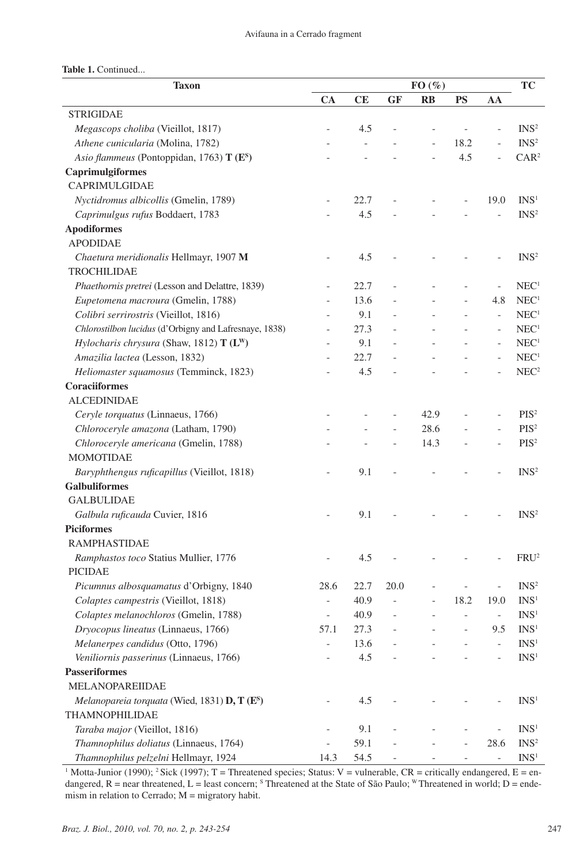| <b>Taxon</b>                                              | $FO(\%)$                 |      |      |                          |                |                          | <b>TC</b>        |
|-----------------------------------------------------------|--------------------------|------|------|--------------------------|----------------|--------------------------|------------------|
|                                                           | CA                       | CE   | GF   | $\mathbf{R}$             | <b>PS</b>      | AA                       |                  |
| <b>STRIGIDAE</b>                                          |                          |      |      |                          |                |                          |                  |
| Megascops choliba (Vieillot, 1817)                        | $\overline{a}$           | 4.5  |      | $\overline{\phantom{0}}$ | $\overline{a}$ | $\overline{\phantom{0}}$ | INS <sup>2</sup> |
| Athene cunicularia (Molina, 1782)                         |                          |      |      | $\overline{a}$           | 18.2           | $\overline{a}$           | INS <sup>2</sup> |
| Asio flammeus (Pontoppidan, 1763) T (E <sup>S</sup> )     |                          |      |      | $\overline{a}$           | 4.5            | $\overline{\phantom{0}}$ | CAR <sup>2</sup> |
| Caprimulgiformes                                          |                          |      |      |                          |                |                          |                  |
| CAPRIMULGIDAE                                             |                          |      |      |                          |                |                          |                  |
| Nyctidromus albicollis (Gmelin, 1789)                     |                          | 22.7 |      |                          |                | 19.0                     | INS <sup>1</sup> |
| Caprimulgus rufus Boddaert, 1783                          |                          | 4.5  |      |                          |                |                          | INS <sup>2</sup> |
| <b>Apodiformes</b>                                        |                          |      |      |                          |                |                          |                  |
| <b>APODIDAE</b>                                           |                          |      |      |                          |                |                          |                  |
| Chaetura meridionalis Hellmayr, 1907 M                    |                          | 4.5  |      |                          |                |                          | INS <sup>2</sup> |
| <b>TROCHILIDAE</b>                                        |                          |      |      |                          |                |                          |                  |
| Phaethornis pretrei (Lesson and Delattre, 1839)           | $\overline{\phantom{0}}$ | 22.7 |      |                          |                | $\overline{\phantom{0}}$ | NEC <sup>1</sup> |
| Eupetomena macroura (Gmelin, 1788)                        | $\overline{a}$           | 13.6 |      |                          |                | 4.8                      | NEC <sup>1</sup> |
| Colibri serrirostris (Vieillot, 1816)                     | $\overline{a}$           | 9.1  |      |                          |                | $\overline{\phantom{0}}$ | NEC <sup>1</sup> |
| Chlorostilbon lucidus (d'Orbigny and Lafresnaye, 1838)    |                          | 27.3 |      |                          |                | $\overline{\phantom{a}}$ | NEC <sup>1</sup> |
| Hylocharis chrysura (Shaw, 1812) $T(L^W)$                 |                          | 9.1  |      |                          |                | $\overline{\phantom{a}}$ | NEC <sup>1</sup> |
| Amazilia lactea (Lesson, 1832)                            |                          | 22.7 |      |                          |                | $\overline{\phantom{0}}$ | NEC <sup>1</sup> |
| Heliomaster squamosus (Temminck, 1823)                    |                          | 4.5  |      |                          |                |                          | NEC <sup>2</sup> |
| Coraciiformes                                             |                          |      |      |                          |                |                          |                  |
| <b>ALCEDINIDAE</b>                                        |                          |      |      |                          |                |                          |                  |
| Ceryle torquatus (Linnaeus, 1766)                         |                          |      |      | 42.9                     |                |                          | $PIS^2$          |
| Chloroceryle amazona (Latham, 1790)                       |                          |      |      | 28.6                     |                | $\overline{a}$           | PIS <sup>2</sup> |
| Chloroceryle americana (Gmelin, 1788)                     |                          |      |      | 14.3                     |                |                          | $PIS^2$          |
| <b>MOMOTIDAE</b>                                          |                          |      |      |                          |                |                          |                  |
| Baryphthengus ruficapillus (Vieillot, 1818)               |                          | 9.1  |      |                          |                |                          | INS <sup>2</sup> |
| <b>Galbuliformes</b>                                      |                          |      |      |                          |                |                          |                  |
| <b>GALBULIDAE</b>                                         |                          |      |      |                          |                |                          |                  |
| Galbula ruficauda Cuvier, 1816                            |                          | 9.1  |      |                          |                |                          | INS <sup>2</sup> |
| <b>Piciformes</b>                                         |                          |      |      |                          |                |                          |                  |
| <b>RAMPHASTIDAE</b>                                       |                          |      |      |                          |                |                          |                  |
| Ramphastos toco Statius Mullier, 1776                     |                          | 4.5  |      |                          |                |                          | FRU <sup>2</sup> |
| <b>PICIDAE</b>                                            |                          |      |      |                          |                |                          |                  |
| Picumnus albosquamatus d'Orbigny, 1840                    | 28.6                     | 22.7 | 20.0 |                          |                |                          | INS <sup>2</sup> |
| Colaptes campestris (Vieillot, 1818)                      | $\overline{\phantom{0}}$ | 40.9 |      |                          | 18.2           | 19.0                     | INS <sup>1</sup> |
| Colaptes melanochloros (Gmelin, 1788)                     | $\qquad \qquad -$        | 40.9 |      |                          |                | $\equiv$                 | INS <sup>1</sup> |
| Dryocopus lineatus (Linnaeus, 1766)                       | 57.1                     | 27.3 |      |                          |                | 9.5                      | INS <sup>1</sup> |
| Melanerpes candidus (Otto, 1796)                          | $\overline{a}$           | 13.6 |      |                          |                | $\overline{\phantom{a}}$ | INS <sup>1</sup> |
| Veniliornis passerinus (Linnaeus, 1766)                   |                          | 4.5  |      |                          |                | $\overline{a}$           | INS <sup>1</sup> |
| <b>Passeriformes</b>                                      |                          |      |      |                          |                |                          |                  |
| <b>MELANOPAREIIDAE</b>                                    |                          |      |      |                          |                |                          |                  |
| Melanopareia torquata (Wied, 1831) D, T (E <sup>S</sup> ) |                          | 4.5  |      |                          |                |                          | INS <sup>1</sup> |
| THAMNOPHILIDAE                                            |                          |      |      |                          |                |                          |                  |
| Taraba major (Vieillot, 1816)                             | $\overline{\phantom{0}}$ | 9.1  |      |                          |                | $\overline{\phantom{0}}$ | INS <sup>1</sup> |
| Thamnophilus doliatus (Linnaeus, 1764)                    |                          | 59.1 |      |                          |                | 28.6                     | INS <sup>2</sup> |
| Thamnophilus pelzelni Hellmayr, 1924                      | 14.3                     | 54.5 |      |                          |                | $\overline{a}$           | INS <sup>1</sup> |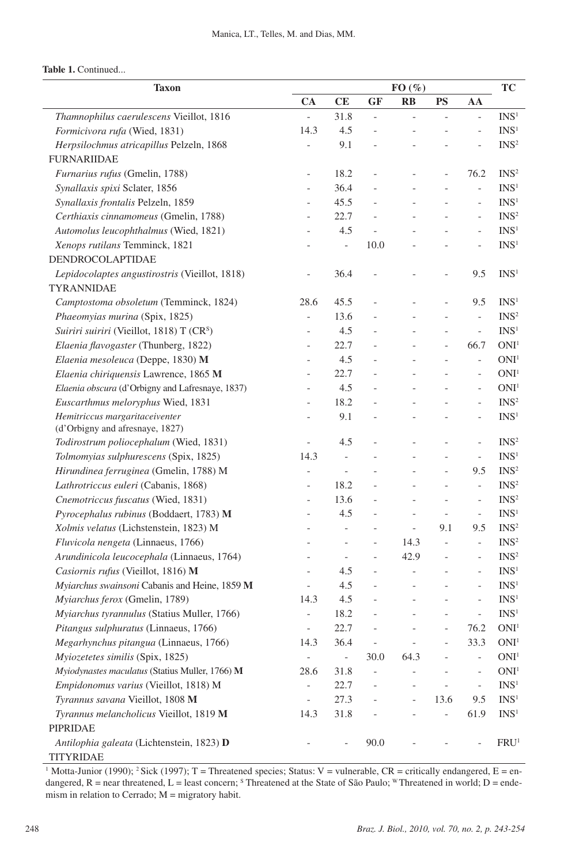|  |  | Table 1. Continued |
|--|--|--------------------|
|--|--|--------------------|

| FO(%)<br><b>Taxon</b>                                 |                          |                          |                          |                          | TC                       |                          |                  |
|-------------------------------------------------------|--------------------------|--------------------------|--------------------------|--------------------------|--------------------------|--------------------------|------------------|
|                                                       | CA                       | CE                       | <b>GF</b>                | $\mathbf{R}$             | <b>PS</b>                | AA                       |                  |
| Thamnophilus caerulescens Vieillot, 1816              | $\overline{a}$           | 31.8                     | $\overline{a}$           | $\overline{a}$           |                          | $\overline{a}$           | INS <sup>1</sup> |
| Formicivora rufa (Wied, 1831)                         | 14.3                     | 4.5                      | $\overline{a}$           |                          |                          | L                        | INS <sup>1</sup> |
| Herpsilochmus atricapillus Pelzeln, 1868              | $\overline{a}$           | 9.1                      |                          |                          |                          |                          | INS <sup>2</sup> |
| <b>FURNARIIDAE</b>                                    |                          |                          |                          |                          |                          |                          |                  |
| Furnarius rufus (Gmelin, 1788)                        | $\overline{\phantom{a}}$ | 18.2                     | $\overline{a}$           | $\overline{a}$           | $\overline{a}$           | 76.2                     | INS <sup>2</sup> |
| Synallaxis spixi Sclater, 1856                        | $\frac{1}{2}$            | 36.4                     |                          |                          |                          | $\overline{a}$           | INS <sup>1</sup> |
| Synallaxis frontalis Pelzeln, 1859                    | $\frac{1}{2}$            | 45.5                     |                          |                          |                          | $\overline{a}$           | INS <sup>1</sup> |
| Certhiaxis cinnamomeus (Gmelin, 1788)                 | $\overline{\phantom{a}}$ | 22.7                     |                          |                          |                          | $\overline{a}$           | INS <sup>2</sup> |
| Automolus leucophthalmus (Wied, 1821)                 | $\overline{\phantom{0}}$ | 4.5                      |                          |                          |                          | $\overline{\phantom{0}}$ | INS <sup>1</sup> |
| Xenops rutilans Temminck, 1821                        |                          | $\overline{\phantom{0}}$ | 10.0                     |                          |                          | $\overline{a}$           | INS <sup>1</sup> |
| DENDROCOLAPTIDAE                                      |                          |                          |                          |                          |                          |                          |                  |
| Lepidocolaptes angustirostris (Vieillot, 1818)        | $\qquad \qquad -$        | 36.4                     |                          |                          |                          | 9.5                      | INS <sup>1</sup> |
| TYRANNIDAE                                            |                          |                          |                          |                          |                          |                          |                  |
| Camptostoma obsoletum (Temminck, 1824)                | 28.6                     | 45.5                     |                          |                          |                          | 9.5                      | INS <sup>1</sup> |
| Phaeomyias murina (Spix, 1825)                        | $\overline{a}$           | 13.6                     |                          |                          |                          | $\overline{a}$           | INS <sup>2</sup> |
| Suiriri suiriri (Vieillot, 1818) T (CR <sup>S</sup> ) | $\overline{a}$           | 4.5                      |                          |                          |                          | $\overline{a}$           | INS <sup>1</sup> |
| Elaenia flavogaster (Thunberg, 1822)                  | $\overline{\phantom{a}}$ | 22.7                     |                          |                          | $\overline{a}$           | 66.7                     | ONI <sup>1</sup> |
| Elaenia mesoleuca (Deppe, 1830) M                     | $\overline{a}$           | 4.5                      |                          |                          |                          | $\overline{a}$           | ONI <sup>1</sup> |
| Elaenia chiriquensis Lawrence, 1865 M                 | $\overline{a}$           | 22.7                     |                          | $\overline{a}$           |                          | $\overline{a}$           | ONI <sup>1</sup> |
| Elaenia obscura (d'Orbigny and Lafresnaye, 1837)      | $\overline{\phantom{0}}$ | 4.5                      |                          |                          |                          | $\overline{a}$           | ONI <sup>1</sup> |
| Euscarthmus meloryphus Wied, 1831                     | $\overline{a}$           | 18.2                     |                          |                          |                          | $\overline{a}$           | INS <sup>2</sup> |
| Hemitriccus margaritaceiventer                        | $\overline{\phantom{a}}$ | 9.1                      |                          |                          | L,                       | $\overline{\phantom{0}}$ | INS <sup>1</sup> |
| (d'Orbigny and afresnaye, 1827)                       |                          |                          |                          |                          |                          |                          |                  |
| Todirostrum poliocephalum (Wied, 1831)                | $\overline{a}$           | 4.5                      |                          |                          |                          | L                        | INS <sup>2</sup> |
| Tolmomyias sulphurescens (Spix, 1825)                 | 14.3                     | $\frac{1}{2}$            |                          |                          |                          | $\overline{a}$           | INS <sup>1</sup> |
| Hirundinea ferruginea (Gmelin, 1788) M                | $\frac{1}{2}$            | $\qquad \qquad \Box$     |                          |                          |                          | 9.5                      | INS <sup>2</sup> |
| Lathrotriccus euleri (Cabanis, 1868)                  | $\frac{1}{2}$            | 18.2                     |                          |                          |                          | $\overline{\phantom{a}}$ | INS <sup>2</sup> |
| Cnemotriccus fuscatus (Wied, 1831)                    | $\overline{\phantom{a}}$ | 13.6                     |                          | $\overline{a}$           | $\overline{a}$           | $\qquad \qquad \Box$     | INS <sup>2</sup> |
| Pyrocephalus rubinus (Boddaert, 1783) M               | $\overline{\phantom{a}}$ | 4.5                      |                          | $\qquad \qquad -$        | $\overline{\phantom{a}}$ | $\overline{\phantom{a}}$ | INS <sup>1</sup> |
| Xolmis velatus (Lichstenstein, 1823) M                |                          | $\overline{a}$           |                          | $\overline{a}$           | 9.1                      | 9.5                      | INS <sup>2</sup> |
| Fluvicola nengeta (Linnaeus, 1766)                    |                          | $\frac{1}{2}$            | $\overline{a}$           | 14.3                     | $\frac{1}{2}$            | $\overline{a}$           | INS <sup>2</sup> |
| Arundinicola leucocephala (Linnaeus, 1764)            |                          | $\frac{1}{2}$            | $\overline{a}$           | 42.9                     | $\overline{\phantom{a}}$ | $\overline{\phantom{0}}$ | INS <sup>2</sup> |
| Casiornis rufus (Vieillot, 1816) M                    |                          | 4.5                      | $\overline{a}$           | $\qquad \qquad -$        |                          | L                        | INS <sup>1</sup> |
| Myiarchus swainsoni Cabanis and Heine, 1859 M         |                          | 4.5                      |                          | $\overline{a}$           |                          |                          | INS <sup>1</sup> |
| Myiarchus ferox (Gmelin, 1789)                        | 14.3                     | 4.5                      |                          |                          |                          |                          | INS <sup>1</sup> |
| Myiarchus tyrannulus (Statius Muller, 1766)           | $\qquad \qquad -$        | 18.2                     |                          |                          |                          | L,                       | INS <sup>1</sup> |
| Pitangus sulphuratus (Linnaeus, 1766)                 | $\overline{\phantom{a}}$ | 22.7                     |                          |                          |                          | 76.2                     | ONI <sup>1</sup> |
| Megarhynchus pitangua (Linnaeus, 1766)                | 14.3                     | 36.4                     |                          |                          |                          | 33.3                     | ONI <sup>1</sup> |
| Myiozetetes similis (Spix, 1825)                      | $\overline{\phantom{a}}$ | $\blacksquare$           | 30.0                     | 64.3                     |                          | $\qquad \qquad -$        | ONI <sup>1</sup> |
| Myiodynastes maculatus (Statius Muller, 1766) M       | 28.6                     | 31.8                     | $\overline{\phantom{0}}$ |                          |                          | $\overline{a}$           | ONI <sup>1</sup> |
| Empidonomus varius (Vieillot, 1818) M                 | $\frac{1}{2}$            | 22.7                     |                          | $\overline{a}$           |                          | $\qquad \qquad -$        | INS <sup>1</sup> |
| Tyrannus savana Vieillot, 1808 M                      | $\overline{\phantom{a}}$ | 27.3                     |                          | $\overline{\phantom{0}}$ | 13.6                     | 9.5                      | INS <sup>1</sup> |
| Tyrannus melancholicus Vieillot, 1819 M               | 14.3                     | 31.8                     |                          |                          | $\overline{\phantom{a}}$ | 61.9                     | INS <sup>1</sup> |
| PIPRIDAE                                              |                          |                          |                          |                          |                          |                          |                  |
| Antilophia galeata (Lichtenstein, 1823) D             |                          | $\overline{a}$           | 90.0                     |                          |                          |                          | FRU <sup>1</sup> |
| <b>TITYRIDAE</b>                                      |                          |                          |                          |                          |                          |                          |                  |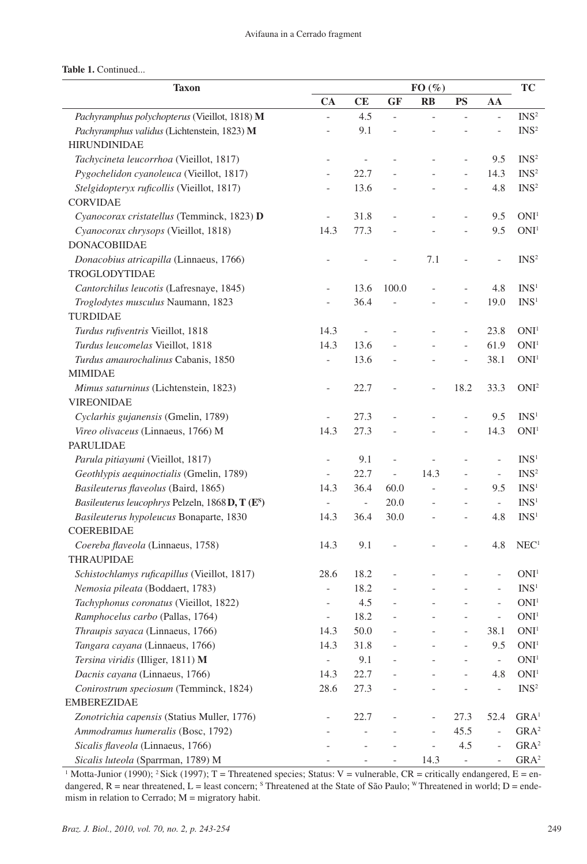| <b>Taxon</b>                                                 |                          | FO(%)          |                          |                          |                          |                          |                                    |
|--------------------------------------------------------------|--------------------------|----------------|--------------------------|--------------------------|--------------------------|--------------------------|------------------------------------|
|                                                              | CA                       | CE             | <b>GF</b>                | RB                       | <b>PS</b>                | AA                       | <b>TC</b>                          |
| Pachyramphus polychopterus (Vieillot, 1818) M                |                          | 4.5            |                          |                          |                          |                          | INS <sup>2</sup>                   |
| Pachyramphus validus (Lichtenstein, 1823) M                  | $\overline{a}$           | 9.1            | $\overline{a}$           |                          |                          |                          | INS <sup>2</sup>                   |
| <b>HIRUNDINIDAE</b>                                          |                          |                |                          |                          |                          |                          |                                    |
| Tachycineta leucorrhoa (Vieillot, 1817)                      | $\overline{a}$           |                |                          |                          |                          | 9.5                      | INS <sup>2</sup>                   |
| Pygochelidon cyanoleuca (Vieillot, 1817)                     | $\overline{a}$           | 22.7           |                          |                          | $\overline{a}$           | 14.3                     | INS <sup>2</sup>                   |
| Stelgidopteryx ruficollis (Vieillot, 1817)                   |                          | 13.6           |                          |                          |                          | 4.8                      | INS <sup>2</sup>                   |
| <b>CORVIDAE</b>                                              |                          |                |                          |                          |                          |                          |                                    |
| Cyanocorax cristatellus (Temminck, 1823) D                   |                          | 31.8           |                          |                          | $\overline{a}$           | 9.5                      | ONI <sup>1</sup>                   |
| Cyanocorax chrysops (Vieillot, 1818)                         | 14.3                     | 77.3           |                          |                          | $\overline{a}$           | 9.5                      | $\rm ONI^1$                        |
| <b>DONACOBIIDAE</b>                                          |                          |                |                          |                          |                          |                          |                                    |
| Donacobius atricapilla (Linnaeus, 1766)                      |                          |                |                          | 7.1                      |                          |                          | $\mathrm{INS}^2$                   |
| TROGLODYTIDAE                                                |                          |                |                          |                          |                          |                          |                                    |
| Cantorchilus leucotis (Lafresnaye, 1845)                     |                          | 13.6           | 100.0                    |                          | $\overline{a}$           | 4.8                      | INS <sup>1</sup>                   |
| Troglodytes musculus Naumann, 1823                           |                          | 36.4           |                          |                          |                          | 19.0                     | INS <sup>1</sup>                   |
| <b>TURDIDAE</b>                                              |                          |                |                          |                          |                          |                          |                                    |
| Turdus rufiventris Vieillot, 1818                            | 14.3                     |                |                          | $\overline{a}$           | $\overline{\phantom{0}}$ | 23.8                     | $\rm ONI^1$                        |
| Turdus leucomelas Vieillot, 1818                             | 14.3                     | 13.6           |                          |                          | $\overline{a}$           | 61.9                     | $\rm ONI^1$                        |
| Turdus amaurochalinus Cabanis, 1850                          | $\overline{a}$           | 13.6           |                          |                          |                          | 38.1                     | ONI <sup>1</sup>                   |
| <b>MIMIDAE</b>                                               |                          |                |                          |                          |                          |                          |                                    |
| Mimus saturninus (Lichtenstein, 1823)                        |                          | 22.7           |                          | $\qquad \qquad -$        | 18.2                     | 33.3                     | ONI <sup>2</sup>                   |
| <b>VIREONIDAE</b>                                            |                          |                |                          |                          |                          |                          |                                    |
| Cyclarhis gujanensis (Gmelin, 1789)                          |                          | 27.3           |                          |                          |                          | 9.5                      | INS <sup>1</sup>                   |
| Vireo olivaceus (Linnaeus, 1766) M                           | 14.3                     | 27.3           |                          |                          | $\overline{\phantom{a}}$ | 14.3                     | ONI <sup>1</sup>                   |
| <b>PARULIDAE</b>                                             |                          |                |                          |                          |                          |                          |                                    |
| Parula pitiayumi (Vieillot, 1817)                            | $\overline{a}$           | 9.1            |                          |                          |                          |                          | INS <sup>1</sup>                   |
| Geothlypis aequinoctialis (Gmelin, 1789)                     | $\qquad \qquad -$        | 22.7           | $\overline{\phantom{m}}$ | 14.3                     | $\overline{a}$           | $\qquad \qquad -$        | INS <sup>2</sup>                   |
| Basileuterus flaveolus (Baird, 1865)                         | 14.3                     | 36.4           | 60.0                     | $\overline{a}$           | $\overline{a}$           | 9.5                      | INS <sup>1</sup>                   |
| Basileuterus leucophrys Pelzeln, 1868 D, T (E <sup>S</sup> ) | $\overline{\phantom{a}}$ | $\blacksquare$ | 20.0                     |                          |                          | $\overline{\phantom{a}}$ | INS <sup>1</sup>                   |
| Basileuterus hypoleucus Bonaparte, 1830                      | 14.3                     | 36.4           | 30.0                     |                          |                          | 4.8                      | INS <sup>1</sup>                   |
| <b>COEREBIDAE</b>                                            |                          |                |                          |                          |                          |                          |                                    |
| Coereba flaveola (Linnaeus, 1758)                            | 14.3                     | 9.1            |                          |                          |                          | 4.8                      | NEC <sup>1</sup>                   |
| THRAUPIDAE                                                   |                          |                |                          |                          |                          |                          |                                    |
| Schistochlamys ruficapillus (Vieillot, 1817)                 | 28.6                     | 18.2           |                          |                          |                          |                          | ONI <sup>1</sup>                   |
| Nemosia pileata (Boddaert, 1783)                             | $\overline{\phantom{0}}$ | 18.2           |                          |                          |                          |                          | INS <sup>1</sup>                   |
| Tachyphonus coronatus (Vieillot, 1822)                       | $\overline{a}$           | 4.5            |                          |                          |                          |                          | ONI <sup>1</sup>                   |
| Ramphocelus carbo (Pallas, 1764)                             | $\overline{\phantom{a}}$ | 18.2           |                          |                          |                          | $\qquad \qquad -$        | $\rm ONI^1$                        |
| Thraupis sayaca (Linnaeus, 1766)                             | 14.3                     | 50.0           |                          |                          |                          | 38.1                     | $\rm ONI^1$                        |
| Tangara cayana (Linnaeus, 1766)                              | 14.3                     | 31.8           |                          |                          |                          | 9.5                      | $\rm ONI^1$                        |
| Tersina viridis (Illiger, 1811) M                            | $\overline{\phantom{a}}$ | 9.1            |                          |                          |                          | $\frac{1}{2}$            | ONI <sup>1</sup>                   |
| Dacnis cayana (Linnaeus, 1766)                               | 14.3                     | 22.7           |                          |                          |                          | 4.8                      | ONI <sup>1</sup>                   |
| Conirostrum speciosum (Temminck, 1824)                       | 28.6                     | 27.3           |                          |                          |                          | $\overline{a}$           | INS <sup>2</sup>                   |
| <b>EMBEREZIDAE</b>                                           |                          |                |                          |                          |                          |                          |                                    |
| Zonotrichia capensis (Statius Muller, 1776)                  |                          | 22.7           |                          |                          | 27.3                     | 52.4                     | $\mathbf{G}\mathbf{R}\mathbf{A}^1$ |
| Ammodramus humeralis (Bosc, 1792)                            |                          |                |                          | $\qquad \qquad -$        | 45.5                     | $\overline{\phantom{0}}$ | GRA <sup>2</sup>                   |
| Sicalis flaveola (Linnaeus, 1766)                            |                          |                |                          | $\overline{\phantom{0}}$ | 4.5                      |                          | GRA <sup>2</sup>                   |
|                                                              |                          |                |                          |                          |                          |                          |                                    |
| Sicalis luteola (Sparrman, 1789) M                           |                          |                |                          | 14.3                     | $\overline{\phantom{m}}$ |                          | GRA <sup>2</sup>                   |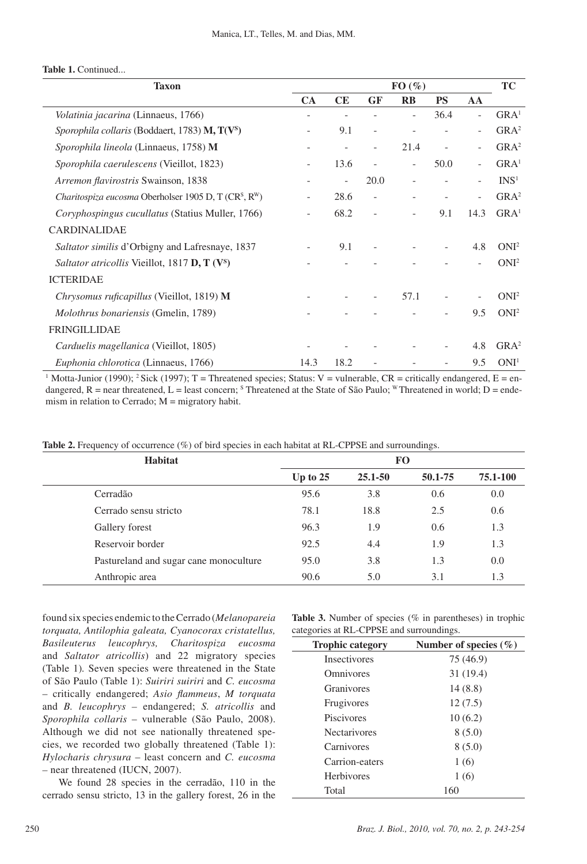|                                                            |              |    |           |           | <b>Taxon</b>                                                                  |
|------------------------------------------------------------|--------------|----|-----------|-----------|-------------------------------------------------------------------------------|
| <b>PS</b>                                                  | $\mathbf{R}$ | GF | <b>CE</b> | <b>CA</b> |                                                                               |
| 36.4<br>$\overline{\phantom{0}}$                           |              |    |           |           | <i>Volatinia jacarina</i> (Linnaeus, 1766)                                    |
| 9.1<br>$\overline{\phantom{a}}$                            |              |    |           |           | <i>Sporophila collaris</i> (Boddaert, 1783) <b>M, T(V</b> <sup>s</sup> )      |
| 21.4<br>$\overline{\phantom{0}}$                           |              |    |           |           | <i>Sporophila lineola</i> (Linnaeus, 1758) M                                  |
| 13.6<br>50.0<br>$\overline{a}$<br>$\overline{\phantom{0}}$ |              |    |           |           | Sporophila caerulescens (Vieillot, 1823)                                      |
| 20.0                                                       |              |    |           |           | Arremon flavirostris Swainson, 1838                                           |
| 28.6<br>$\overline{\phantom{a}}$                           |              |    |           |           | Charitospiza eucosma Oberholser 1905 D, T (CR <sup>S</sup> , R <sup>W</sup> ) |
| 68.2<br>9.1<br>$\overline{\phantom{0}}$                    |              |    |           |           | <i>Coryphospingus cucullatus</i> (Statius Muller, 1766)                       |
|                                                            |              |    |           |           | <b>CARDINALIDAE</b>                                                           |
| 9.1<br>$\overline{\phantom{a}}$                            |              |    |           |           | Saltator similis d'Orbigny and Lafresnaye, 1837                               |
|                                                            |              |    |           |           | <i>Saltator atricollis</i> Vieillot, 1817 <b>D, T</b> (V <sup>s</sup> )       |
|                                                            |              |    |           |           | <b>ICTERIDAE</b>                                                              |
| 57.1<br>$\overline{\phantom{a}}$                           |              |    |           |           | <i>Chrysomus ruficapillus</i> (Vieillot, 1819) <b>M</b>                       |
|                                                            |              |    |           |           | Molothrus bonariensis (Gmelin, 1789)                                          |
|                                                            |              |    |           |           | <b>FRINGILLIDAE</b>                                                           |
|                                                            |              |    |           |           | Carduelis magellanica (Vieillot, 1805)                                        |
| 18.2<br>14.3                                               |              |    |           |           | Euphonia chlorotica (Linnaeus, 1766)                                          |
|                                                            |              |    |           |           |                                                                               |

<sup>1</sup> Motta-Junior (1990); <sup>2</sup> Sick (1997); T = Threatened species; Status: V = vulnerable, CR = critically endangered, E = endangered, R = near threatened, L = least concern; <sup>s</sup> Threatened at the State of São Paulo; <sup>w</sup> Threatened in world; D = endemism in relation to Cerrado;  $M =$  migratory habit.

**Table 2.** Frequency of occurrence (%) of bird species in each habitat at RL-CPPSE and surroundings.

| Habitat                                | <b>FO</b>  |             |         |          |  |  |  |
|----------------------------------------|------------|-------------|---------|----------|--|--|--|
|                                        | Up to $25$ | $25.1 - 50$ | 50.1-75 | 75.1-100 |  |  |  |
| Cerradão                               | 95.6       | 3.8         | 0.6     | 0.0      |  |  |  |
| Cerrado sensu stricto                  | 78.1       | 18.8        | 2.5     | 0.6      |  |  |  |
| Gallery forest                         | 96.3       | 1.9         | 0.6     | 1.3      |  |  |  |
| Reservoir border                       | 92.5       | 4.4         | 1.9     | 1.3      |  |  |  |
| Pastureland and sugar cane monoculture | 95.0       | 3.8         | 1.3     | 0.0      |  |  |  |
| Anthropic area                         | 90.6       | 5.0         | 3.1     | 1.3      |  |  |  |

found six species endemic to the Cerrado (*Melanopareia torquata, Antilophia galeata, Cyanocorax cristatellus, Basileuterus leucophrys, Charitospiza eucosma* and *Saltator atricollis*) and 22 migratory species (Table 1)*.* Seven species were threatened in the State of São Paulo (Table 1): *Suiriri suiriri* and *C. eucosma*  – critically endangered; *Asio flammeus*, *M torquata* and *B. leucophrys –* endangered; *S. atricollis* and *Sporophila collaris* – vulnerable (São Paulo, 2008). Although we did not see nationally threatened species, we recorded two globally threatened (Table 1): *Hylocharis chrysura* – least concern and *C. eucosma –* near threatened (IUCN, 2007).

We found 28 species in the cerradão, 110 in the cerrado sensu stricto, 13 in the gallery forest, 26 in the

**Table 3.** Number of species (% in parentheses) in trophic categories at RL-CPPSE and surroundings.

| <b>Trophic category</b> | Number of species $(\% )$ |
|-------------------------|---------------------------|
| <b>Insectivores</b>     | 75 (46.9)                 |
| Omnivores               | 31(19.4)                  |
| Granivores              | 14(8.8)                   |
| Frugivores              | 12(7.5)                   |
| Piscivores              | 10(6.2)                   |
| <b>Nectarivores</b>     | 8(5.0)                    |
| Carnivores              | 8(5.0)                    |
| Carrion-eaters          | 1(6)                      |
| <b>Herbivores</b>       | 1(6)                      |
| Total                   | 160                       |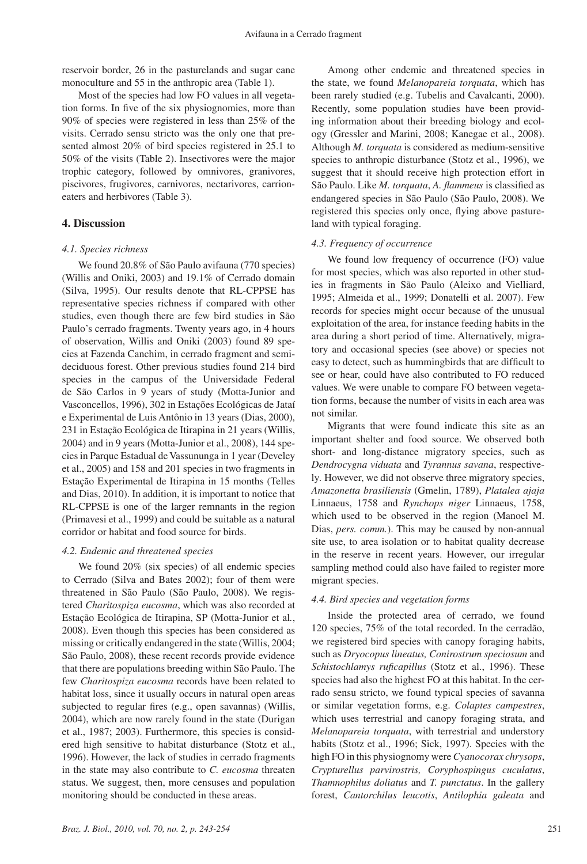reservoir border, 26 in the pasturelands and sugar cane monoculture and 55 in the anthropic area (Table 1).

Most of the species had low FO values in all vegetation forms. In five of the six physiognomies, more than 90% of species were registered in less than 25% of the visits. Cerrado sensu stricto was the only one that presented almost 20% of bird species registered in 25.1 to 50% of the visits (Table 2). Insectivores were the major trophic category, followed by omnivores, granivores, piscivores, frugivores, carnivores, nectarivores, carrioneaters and herbivores (Table 3).

#### **4. Discussion**

#### *4.1. Species richness*

We found 20.8% of São Paulo avifauna (770 species) (Willis and Oniki, 2003) and 19.1% of Cerrado domain (Silva, 1995). Our results denote that RL-CPPSE has representative species richness if compared with other studies, even though there are few bird studies in São Paulo's cerrado fragments. Twenty years ago, in 4 hours of observation, Willis and Oniki (2003) found 89 species at Fazenda Canchim, in cerrado fragment and semideciduous forest. Other previous studies found 214 bird species in the campus of the Universidade Federal de São Carlos in 9 years of study (Motta-Junior and Vasconcellos, 1996), 302 in Estações Ecológicas de Jataí e Experimental de Luis Antônio in 13 years (Dias, 2000), 231 in Estação Ecológica de Itirapina in 21 years (Willis, 2004) and in 9 years (Motta-Junior et al., 2008), 144 species in Parque Estadual de Vassununga in 1 year (Develey et al., 2005) and 158 and 201 species in two fragments in Estação Experimental de Itirapina in 15 months (Telles and Dias, 2010). In addition, it is important to notice that RL-CPPSE is one of the larger remnants in the region (Primavesi et al., 1999) and could be suitable as a natural corridor or habitat and food source for birds.

#### *4.2. Endemic and threatened species*

We found 20% (six species) of all endemic species to Cerrado (Silva and Bates 2002); four of them were threatened in São Paulo (São Paulo, 2008). We registered *Charitospiza eucosma*, which was also recorded at Estação Ecológica de Itirapina, SP (Motta-Junior et al*.*, 2008). Even though this species has been considered as missing or critically endangered in the state (Willis, 2004; São Paulo, 2008), these recent records provide evidence that there are populations breeding within São Paulo. The few *Charitospiza eucosma* records have been related to habitat loss, since it usually occurs in natural open areas subjected to regular fires (e.g., open savannas) (Willis, 2004), which are now rarely found in the state (Durigan et al., 1987; 2003). Furthermore, this species is considered high sensitive to habitat disturbance (Stotz et al., 1996). However, the lack of studies in cerrado fragments in the state may also contribute to *C. eucosma* threaten status. We suggest, then, more censuses and population monitoring should be conducted in these areas.

Among other endemic and threatened species in the state, we found *Melanopareia torquata*, which has been rarely studied (e.g. Tubelis and Cavalcanti, 2000). Recently, some population studies have been providing information about their breeding biology and ecology (Gressler and Marini, 2008; Kanegae et al., 2008). Although *M. torquata* is considered as medium-sensitive species to anthropic disturbance (Stotz et al., 1996), we suggest that it should receive high protection effort in São Paulo. Like *M. torquata*, *A. flammeus* is classified as endangered species in São Paulo (São Paulo, 2008). We registered this species only once, flying above pastureland with typical foraging.

#### *4.3. Frequency of occurrence*

We found low frequency of occurrence (FO) value for most species, which was also reported in other studies in fragments in São Paulo (Aleixo and Vielliard, 1995; Almeida et al., 1999; Donatelli et al. 2007). Few records for species might occur because of the unusual exploitation of the area, for instance feeding habits in the area during a short period of time. Alternatively, migratory and occasional species (see above) or species not easy to detect, such as hummingbirds that are difficult to see or hear, could have also contributed to FO reduced values. We were unable to compare FO between vegetation forms, because the number of visits in each area was not similar.

Migrants that were found indicate this site as an important shelter and food source. We observed both short- and long-distance migratory species, such as *Dendrocygna viduata* and *Tyrannus savana*, respectively*.* However, we did not observe three migratory species, *Amazonetta brasiliensis* (Gmelin, 1789), *Platalea ajaja* Linnaeus, 1758 and *Rynchops niger* Linnaeus, 1758, which used to be observed in the region (Manoel M. Dias, *pers. comm.*). This may be caused by non-annual site use, to area isolation or to habitat quality decrease in the reserve in recent years. However, our irregular sampling method could also have failed to register more migrant species.

#### *4.4. Bird species and vegetation forms*

Inside the protected area of cerrado, we found 120 species, 75% of the total recorded. In the cerradão, we registered bird species with canopy foraging habits, such as *Dryocopus lineatus, Conirostrum speciosum* and *Schistochlamys ruficapillus* (Stotz et al., 1996). These species had also the highest FO at this habitat. In the cerrado sensu stricto, we found typical species of savanna or similar vegetation forms, e.g. *Colaptes campestres*, which uses terrestrial and canopy foraging strata, and *Melanopareia torquata*, with terrestrial and understory habits (Stotz et al., 1996; Sick, 1997). Species with the high FO in this physiognomy were *Cyanocorax chrysops*, *Crypturellus parvirostris, Coryphospingus cuculatus*, *Thamnophilus doliatus* and *T. punctatus*. In the gallery forest, *Cantorchilus leucotis*, *Antilophia galeata* and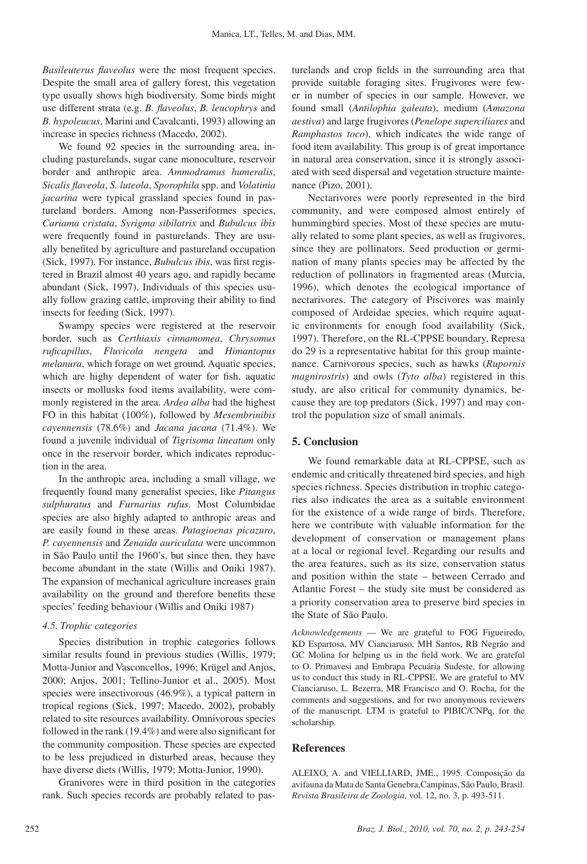*Basileuterus flaveolus* were the most frequent species. Despite the small area of gallery forest, this vegetation type usually shows high biodiversity. Some birds might use different strata (e.g. *B. flaveolus*, *B. leucophrys* and *B. hypoleucus*, Marini and Cavalcanti, 1993) allowing an increase in species richness (Macedo, 2002).

We found 92 species in the surrounding area, including pasturelands, sugar cane monoculture, reservoir border and anthropic area. *Ammodramus humeralis*, *Sicalis flaveola*, *S. luteola*, *Sporophila* spp. and *Volatinia jacarina* were typical grassland species found in pastureland borders. Among non-Passeriformes species, *Cariama cristata*, *Syrigma sibilatrix* and *Bubulcus ibis* were frequently found in pasturelands. They are usually benefited by agriculture and pastureland occupation (Sick, 1997). For instance, *Bubulcus ibis*, was first registered in Brazil almost 40 years ago, and rapidly became abundant (Sick, 1997). Individuals of this species usually follow grazing cattle, improving their ability to find insects for feeding (Sick, 1997).

Swampy species were registered at the reservoir border, such as *Certhiaxis cinnamomea*, *Chrysomus ruficapillus*, *Fluvicola nengeta* and *Himantopus melanura*, which forage on wet ground. Aquatic species, which are highy dependent of water for fish, aquatic insects or mollusks food items availability, were commonly registered in the area. *Ardea alba* had the highest FO in this habitat (100%), followed by *Mesembrinibis cayennensis* (78.6%) and *Jacana jacana* (71.4%). We found a juvenile individual of *Tigrisoma lineatum* only once in the reservoir border, which indicates reproduction in the area.

In the anthropic area, including a small village, we frequently found many generalist species, like *Pitangus sulphuratus* and *Furnarius rufus*. Most Columbidae species are also highly adapted to anthropic areas and are easily found in these areas. *Patagioenas picazuro*, *P. cayennensis* and *Zenaida auriculata* were uncommon in São Paulo until the 1960's, but since then, they have become abundant in the state (Willis and Oniki 1987). The expansion of mechanical agriculture increases grain availability on the ground and therefore benefits these species' feeding behaviour (Willis and Oniki 1987)

#### *4.5. Trophic categories*

Species distribution in trophic categories follows similar results found in previous studies (Willis, 1979; Motta-Junior and Vasconcellos, 1996; Krügel and Anjos, 2000; Anjos, 2001; Tellino-Junior et al., 2005). Most species were insectivorous (46.9%), a typical pattern in tropical regions (Sick, 1997; Macedo, 2002), probably related to site resources availability. Omnivorous species followed in the rank (19.4%) and were also significant for the community composition. These species are expected to be less prejudiced in disturbed areas, because they have diverse diets (Willis, 1979; Motta-Junior, 1990).

Granivores were in third position in the categories rank. Such species records are probably related to pasturelands and crop fields in the surrounding area that provide suitable foraging sites. Frugivores were fewer in number of species in our sample. However, we found small (*Antilophia galeata*), medium (*Amazona aestiva*) and large frugivores (*Penelope superciliares* and *Ramphastos toco*), which indicates the wide range of food item availability. This group is of great importance in natural area conservation, since it is strongly associated with seed dispersal and vegetation structure maintenance (Pizo, 2001).

Nectarivores were poorly represented in the bird community, and were composed almost entirely of hummingbird species. Most of these species are mutually related to some plant species, as well as frugivores, since they are pollinators. Seed production or germination of many plants species may be affected by the reduction of pollinators in fragmented areas (Murcia, 1996), which denotes the ecological importance of nectarivores. The category of Piscivores was mainly composed of Ardeidae species, which require aquatic environments for enough food availability (Sick, 1997). Therefore, on the RL-CPPSE boundary, Represa do 29 is a representative habitat for this group maintenance. Carnivorous species, such as hawks (*Rupornis magnirostris*) and owls (*Tyto alba*) registered in this study, are also critical for community dynamics, because they are top predators (Sick, 1997) and may control the population size of small animals.

## **5. Conclusion**

We found remarkable data at RL-CPPSE, such as endemic and critically threatened bird species, and high species richness. Species distribution in trophic categories also indicates the area as a suitable environment for the existence of a wide range of birds. Therefore, here we contribute with valuable information for the development of conservation or management plans at a local or regional level. Regarding our results and the area features, such as its size, conservation status and position within the state – between Cerrado and Atlantic Forest – the study site must be considered as a priority conservation area to preserve bird species in the State of São Paulo.

*Acknowledgements* — We are grateful to FOG Figueiredo, KD Espartosa, MV Cianciaruso, MH Santos, RB Negrão and GC Molina for helping us in the field work. We are grateful to O. Primavesi and Embrapa Pecuária Sudeste, for allowing us to conduct this study in RL-CPPSE. We are grateful to MV Cianciaruso, L. Bezerra, MR Francisco and O. Rocha, for the comments and suggestions, and for two anonymous reviewers of the manuscript. LTM is grateful to PIBIC/CNPq, for the scholarship.

#### **References**

ALEIXO, A. and VIELLIARD, JME., 1995. Composição da avifauna da Mata de Santa Genebra,Campinas, São Paulo, Brasil. *Revista Brasileira de Zoologia*, vol. 12, no. 3, p. 493-511.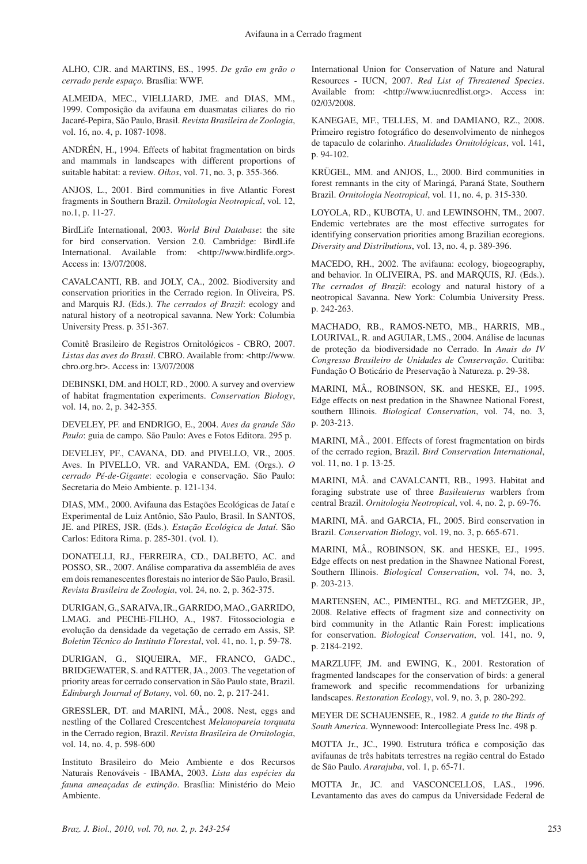ALHO, CJR. and MARTINS, ES., 1995. *De grão em grão o cerrado perde espaço.* Brasília: WWF.

ALMEIDA, MEC., VIELLIARD, JME. and DIAS, MM., 1999. Composição da avifauna em duasmatas ciliares do rio Jacaré-Pepira, São Paulo, Brasil. *Revista Brasileira de Zoologia*, vol. 16, no. 4, p. 1087-1098.

ANDRÉN, H., 1994. Effects of habitat fragmentation on birds and mammals in landscapes with different proportions of suitable habitat: a review. *Oikos*, vol. 71, no. 3, p. 355-366.

ANJOS, L., 2001. Bird communities in five Atlantic Forest fragments in Southern Brazil. *Ornitologia Neotropical*, vol. 12, no.1, p. 11-27.

BirdLife International, 2003. *World Bird Database*: the site for bird conservation. Version 2.0. Cambridge: BirdLife International. Available from: <http://www.birdlife.org>. Access in: 13/07/2008.

CAVALCANTI, RB. and JOLY, CA., 2002. Biodiversity and conservation priorities in the Cerrado region. In Oliveira, PS. and Marquis RJ. (Eds.). *The cerrados of Brazil*: ecology and natural history of a neotropical savanna. New York: Columbia University Press. p. 351-367.

Comitê Brasileiro de Registros Ornitológicos - CBRO, 2007. *Listas das aves do Brasil*. CBRO. Available from: <http://www. cbro.org.br>. Access in: 13/07/2008

DEBINSKI, DM. and HOLT, RD., 2000. A survey and overview of habitat fragmentation experiments. *Conservation Biology*, vol. 14, no. 2, p. 342-355.

DEVELEY, PF. and ENDRIGO, E., 2004. *Aves da grande São Paulo*: guia de campo*.* São Paulo: Aves e Fotos Editora. 295 p.

DEVELEY, PF., CAVANA, DD. and PIVELLO, VR., 2005. Aves. In PIVELLO, VR. and VARANDA, EM. (Orgs.). *O cerrado Pé-de-Gigante*: ecologia e conservação. São Paulo: Secretaria do Meio Ambiente. p. 121-134.

DIAS, MM., 2000. Avifauna das Estações Ecológicas de Jataí e Experimental de Luiz Antônio, São Paulo, Brasil. In SANTOS, JE. and PIRES, JSR. (Eds.). *Estação Ecológica de Jataí*. São Carlos: Editora Rima. p. 285-301. (vol. 1).

DONATELLI, RJ., FERREIRA, CD., DALBETO, AC. and POSSO, SR., 2007. Análise comparativa da assembléia de aves em dois remanescentes florestais no interior de São Paulo, Brasil. *Revista Brasileira de Zoologia*, vol. 24, no. 2, p. 362-375.

DURIGAN, G., SARAIVA, IR., GARRIDO, MAO., GARRIDO, LMAG. and PECHE-FILHO, A., 1987. Fitossociologia e evolução da densidade da vegetação de cerrado em Assis, SP. *Boletim Técnico do Instituto Florestal*, vol. 41, no. 1, p. 59-78.

DURIGAN, G., SIQUEIRA, MF., FRANCO, GADC., BRIDGEWATER, S. and RATTER, JA., 2003. The vegetation of priority areas for cerrado conservation in São Paulo state, Brazil. *Edinburgh Journal of Botany*, vol. 60, no. 2, p. 217-241.

GRESSLER, DT. and MARINI, MÂ., 2008. Nest, eggs and nestling of the Collared Crescentchest *Melanopareia torquata* in the Cerrado region, Brazil. *Revista Brasileira de Ornitologia*, vol. 14, no. 4, p. 598-600

Instituto Brasileiro do Meio Ambiente e dos Recursos Naturais Renováveis - IBAMA, 2003. *Lista das espécies da fauna ameaçadas de extinção*. Brasília: Ministério do Meio Ambiente.

International Union for Conservation of Nature and Natural Resources - IUCN, 2007. *Red List of Threatened Species*. Available from: <http://www.iucnredlist.org>. Access in: 02/03/2008.

KANEGAE, MF., TELLES, M. and DAMIANO, RZ., 2008. Primeiro registro fotográfico do desenvolvimento de ninhegos de tapaculo de colarinho. *Atualidades Ornitológicas*, vol. 141, p. 94-102.

KRÜGEL, MM. and ANJOS, L., 2000. Bird communities in forest remnants in the city of Maringá, Paraná State, Southern Brazil. *Ornitologia Neotropical*, vol. 11, no. 4, p. 315-330.

LOYOLA, RD., KUBOTA, U. and LEWINSOHN, TM., 2007. Endemic vertebrates are the most effective surrogates for identifying conservation priorities among Brazilian ecoregions. *Diversity and Distributions*, vol. 13, no. 4, p. 389-396.

MACEDO, RH., 2002. The avifauna: ecology, biogeography, and behavior. In OLIVEIRA, PS. and MARQUIS, RJ. (Eds.). *The cerrados of Brazil*: ecology and natural history of a neotropical Savanna. New York: Columbia University Press. p. 242-263.

MACHADO, RB., RAMOS-NETO, MB., HARRIS, MB., LOURIVAL, R. and AGUIAR, LMS., 2004. Análise de lacunas de proteção da biodiversidade no Cerrado. In *Anais do IV Congresso Brasileiro de Unidades de Conservação*. Curitiba: Fundação O Boticário de Preservação à Natureza. p. 29-38.

MARINI, MÂ., ROBINSON, SK. and HESKE, EJ., 1995. Edge effects on nest predation in the Shawnee National Forest, southern Illinois. *Biological Conservation*, vol. 74, no. 3, p. 203-213.

MARINI, MÂ., 2001. Effects of forest fragmentation on birds of the cerrado region, Brazil. *Bird Conservation International*, vol. 11, no. 1 p. 13-25.

MARINI, MÂ. and CAVALCANTI, RB., 1993. Habitat and foraging substrate use of three *Basileuterus* warblers from central Brazil. *Ornitologia Neotropical*, vol. 4, no. 2, p. 69-76.

MARINI, MÂ. and GARCIA, FI., 2005. Bird conservation in Brazil. *Conservation Biology*, vol. 19, no. 3, p. 665-671.

MARINI, MÂ., ROBINSON, SK. and HESKE, EJ., 1995. Edge effects on nest predation in the Shawnee National Forest, Southern Illinois. *Biological Conservation*, vol. 74, no. 3, p. 203-213.

Martensen, AC., Pimentel, RG. and Metzger, JP., 2008. Relative effects of fragment size and connectivity on bird community in the Atlantic Rain Forest: implications for conservation. *Biological Conservation*, vol. 141, no. 9, p. 2184-2192.

MARZLUFF, JM. and Ewing, K., 2001. Restoration of fragmented landscapes for the conservation of birds: a general framework and specific recommendations for urbanizing landscapes. *Restoration Ecology*, vol. 9, no. 3, p. 280-292.

MEYER DE SCHAUENSEE, R., 1982. *A guide to the Birds of South America*. Wynnewood: Intercollegiate Press Inc. 498 p.

MOTTA Jr., JC., 1990. Estrutura trófica e composição das avifaunas de três habitats terrestres na região central do Estado de São Paulo. *Ararajuba*, vol. 1, p. 65-71.

MOTTA Jr., JC. and VASCONCELLOS, LAS., 1996. Levantamento das aves do campus da Universidade Federal de